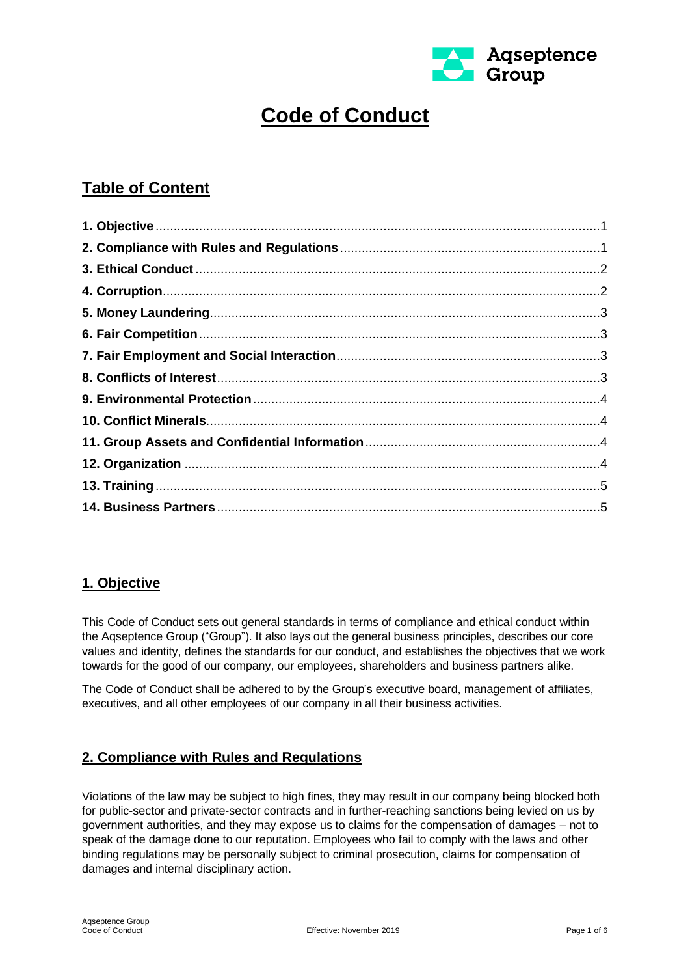

# **Code of Conduct**

# **Table of Content**

# <span id="page-0-0"></span>**1. Objective**

This Code of Conduct sets out general standards in terms of compliance and ethical conduct within the Aqseptence Group ("Group"). It also lays out the general business principles, describes our core values and identity, defines the standards for our conduct, and establishes the objectives that we work towards for the good of our company, our employees, shareholders and business partners alike.

The Code of Conduct shall be adhered to by the Group's executive board, management of affiliates, executives, and all other employees of our company in all their business activities.

# <span id="page-0-1"></span>**2. Compliance with Rules and Regulations**

Violations of the law may be subject to high fines, they may result in our company being blocked both for public-sector and private-sector contracts and in further-reaching sanctions being levied on us by government authorities, and they may expose us to claims for the compensation of damages – not to speak of the damage done to our reputation. Employees who fail to comply with the laws and other binding regulations may be personally subject to criminal prosecution, claims for compensation of damages and internal disciplinary action.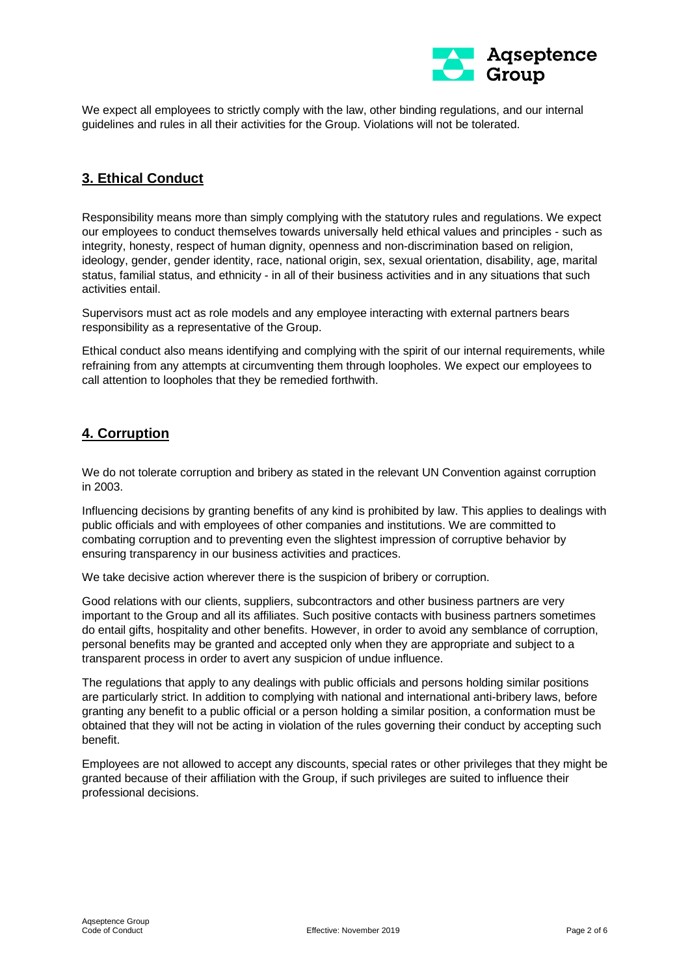

We expect all employees to strictly comply with the law, other binding regulations, and our internal guidelines and rules in all their activities for the Group. Violations will not be tolerated.

#### <span id="page-1-0"></span>**3. Ethical Conduct**

Responsibility means more than simply complying with the statutory rules and regulations. We expect our employees to conduct themselves towards universally held ethical values and principles - such as integrity, honesty, respect of human dignity, openness and non-discrimination based on religion, ideology, gender, gender identity, race, national origin, sex, sexual orientation, disability, age, marital status, familial status, and ethnicity - in all of their business activities and in any situations that such activities entail.

Supervisors must act as role models and any employee interacting with external partners bears responsibility as a representative of the Group.

Ethical conduct also means identifying and complying with the spirit of our internal requirements, while refraining from any attempts at circumventing them through loopholes. We expect our employees to call attention to loopholes that they be remedied forthwith.

## <span id="page-1-1"></span>**4. Corruption**

We do not tolerate corruption and bribery as stated in the relevant UN Convention against corruption in 2003.

Influencing decisions by granting benefits of any kind is prohibited by law. This applies to dealings with public officials and with employees of other companies and institutions. We are committed to combating corruption and to preventing even the slightest impression of corruptive behavior by ensuring transparency in our business activities and practices.

We take decisive action wherever there is the suspicion of bribery or corruption.

Good relations with our clients, suppliers, subcontractors and other business partners are very important to the Group and all its affiliates. Such positive contacts with business partners sometimes do entail gifts, hospitality and other benefits. However, in order to avoid any semblance of corruption, personal benefits may be granted and accepted only when they are appropriate and subject to a transparent process in order to avert any suspicion of undue influence.

The regulations that apply to any dealings with public officials and persons holding similar positions are particularly strict. In addition to complying with national and international anti-bribery laws, before granting any benefit to a public official or a person holding a similar position, a conformation must be obtained that they will not be acting in violation of the rules governing their conduct by accepting such benefit.

<span id="page-1-2"></span>Employees are not allowed to accept any discounts, special rates or other privileges that they might be granted because of their affiliation with the Group, if such privileges are suited to influence their professional decisions.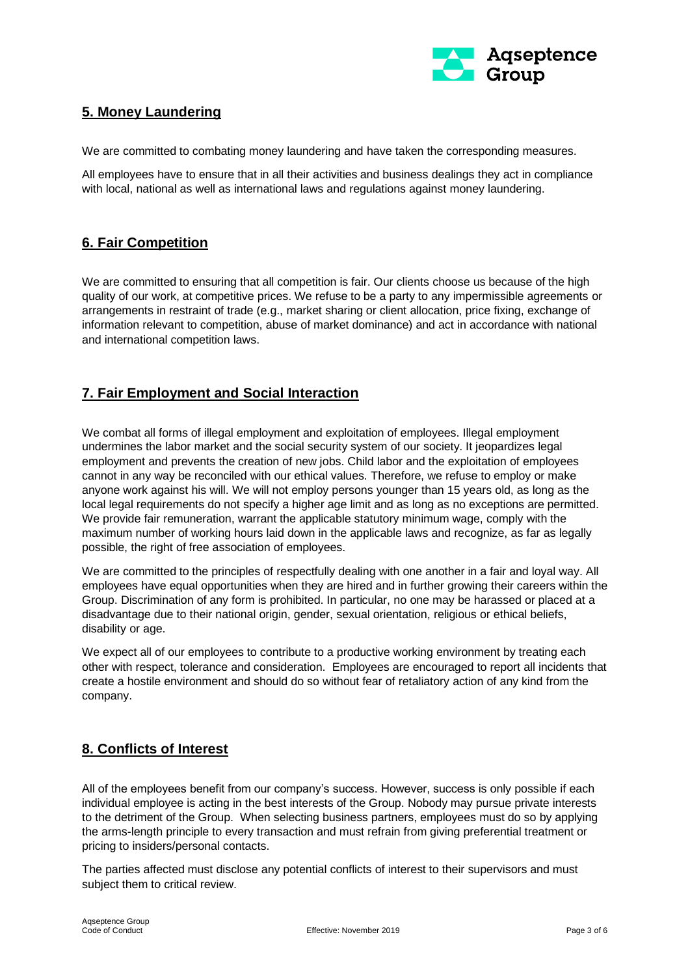

# **5. Money Laundering**

We are committed to combating money laundering and have taken the corresponding measures.

All employees have to ensure that in all their activities and business dealings they act in compliance with local, national as well as international laws and regulations against money laundering.

#### <span id="page-2-0"></span>**6. Fair Competition**

We are committed to ensuring that all competition is fair. Our clients choose us because of the high quality of our work, at competitive prices. We refuse to be a party to any impermissible agreements or arrangements in restraint of trade (e.g., market sharing or client allocation, price fixing, exchange of information relevant to competition, abuse of market dominance) and act in accordance with national and international competition laws.

#### <span id="page-2-1"></span>**7. Fair Employment and Social Interaction**

We combat all forms of illegal employment and exploitation of employees. Illegal employment undermines the labor market and the social security system of our society. It jeopardizes legal employment and prevents the creation of new jobs. Child labor and the exploitation of employees cannot in any way be reconciled with our ethical values. Therefore, we refuse to employ or make anyone work against his will. We will not employ persons younger than 15 years old, as long as the local legal requirements do not specify a higher age limit and as long as no exceptions are permitted. We provide fair remuneration, warrant the applicable statutory minimum wage, comply with the maximum number of working hours laid down in the applicable laws and recognize, as far as legally possible, the right of free association of employees.

We are committed to the principles of respectfully dealing with one another in a fair and loyal way. All employees have equal opportunities when they are hired and in further growing their careers within the Group. Discrimination of any form is prohibited. In particular, no one may be harassed or placed at a disadvantage due to their national origin, gender, sexual orientation, religious or ethical beliefs, disability or age.

We expect all of our employees to contribute to a productive working environment by treating each other with respect, tolerance and consideration. Employees are encouraged to report all incidents that create a hostile environment and should do so without fear of retaliatory action of any kind from the company.

#### <span id="page-2-2"></span>**8. Conflicts of Interest**

All of the employees benefit from our company's success. However, success is only possible if each individual employee is acting in the best interests of the Group. Nobody may pursue private interests to the detriment of the Group. When selecting business partners, employees must do so by applying the arms-length principle to every transaction and must refrain from giving preferential treatment or pricing to insiders/personal contacts.

The parties affected must disclose any potential conflicts of interest to their supervisors and must subject them to critical review.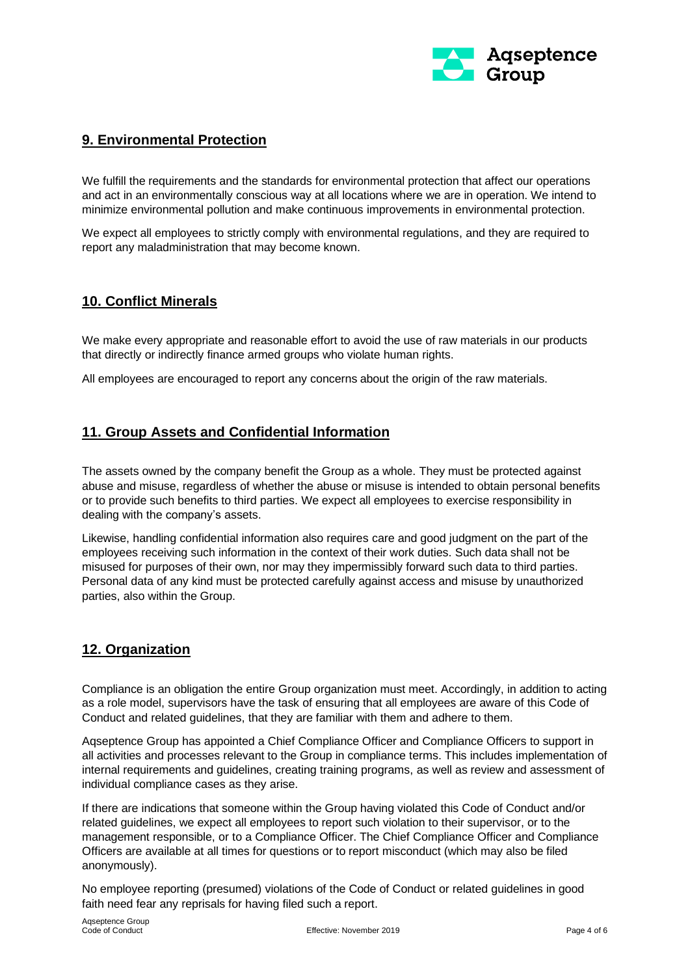

## <span id="page-3-0"></span>**9. Environmental Protection**

We fulfill the requirements and the standards for environmental protection that affect our operations and act in an environmentally conscious way at all locations where we are in operation. We intend to minimize environmental pollution and make continuous improvements in environmental protection.

We expect all employees to strictly comply with environmental regulations, and they are required to report any maladministration that may become known.

#### <span id="page-3-1"></span>**10. Conflict Minerals**

We make every appropriate and reasonable effort to avoid the use of raw materials in our products that directly or indirectly finance armed groups who violate human rights.

All employees are encouraged to report any concerns about the origin of the raw materials.

#### <span id="page-3-2"></span>**11. Group Assets and Confidential Information**

The assets owned by the company benefit the Group as a whole. They must be protected against abuse and misuse, regardless of whether the abuse or misuse is intended to obtain personal benefits or to provide such benefits to third parties. We expect all employees to exercise responsibility in dealing with the company's assets.

Likewise, handling confidential information also requires care and good judgment on the part of the employees receiving such information in the context of their work duties. Such data shall not be misused for purposes of their own, nor may they impermissibly forward such data to third parties. Personal data of any kind must be protected carefully against access and misuse by unauthorized parties, also within the Group.

#### <span id="page-3-3"></span>**12. Organization**

Compliance is an obligation the entire Group organization must meet. Accordingly, in addition to acting as a role model, supervisors have the task of ensuring that all employees are aware of this Code of Conduct and related guidelines, that they are familiar with them and adhere to them.

Aqseptence Group has appointed a Chief Compliance Officer and Compliance Officers to support in all activities and processes relevant to the Group in compliance terms. This includes implementation of internal requirements and guidelines, creating training programs, as well as review and assessment of individual compliance cases as they arise.

If there are indications that someone within the Group having violated this Code of Conduct and/or related guidelines, we expect all employees to report such violation to their supervisor, or to the management responsible, or to a Compliance Officer. The Chief Compliance Officer and Compliance Officers are available at all times for questions or to report misconduct (which may also be filed anonymously).

No employee reporting (presumed) violations of the Code of Conduct or related guidelines in good faith need fear any reprisals for having filed such a report.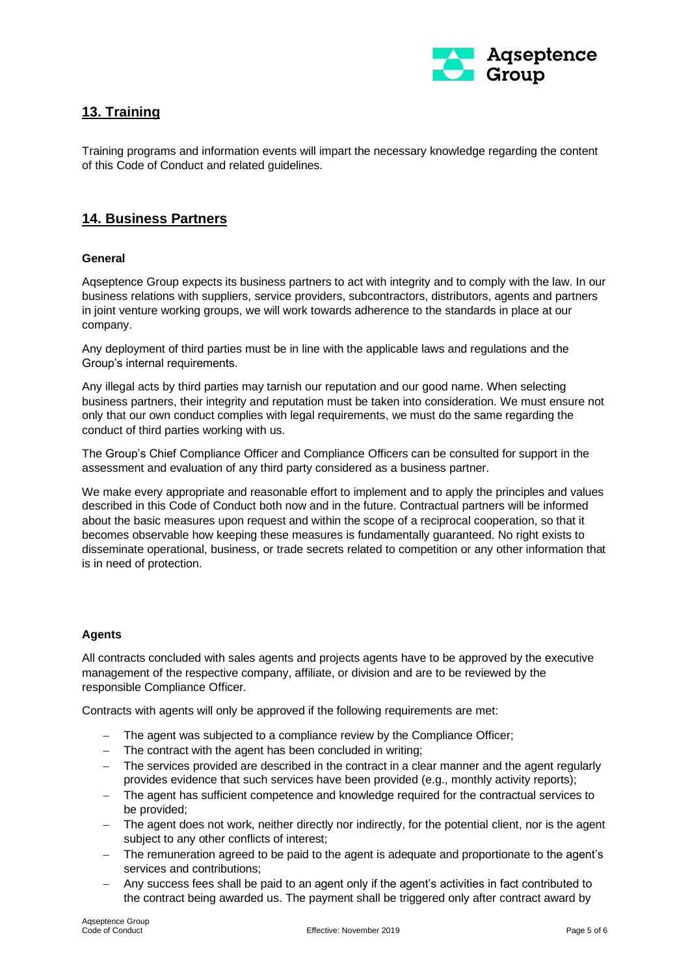

# <span id="page-4-0"></span>**13. Training**

Training programs and information events will impart the necessary knowledge regarding the content of this Code of Conduct and related guidelines.

#### <span id="page-4-1"></span>**14. Business Partners**

#### **General**

Aqseptence Group expects its business partners to act with integrity and to comply with the law. In our business relations with suppliers, service providers, subcontractors, distributors, agents and partners in joint venture working groups, we will work towards adherence to the standards in place at our company.

Any deployment of third parties must be in line with the applicable laws and regulations and the Group's internal requirements.

Any illegal acts by third parties may tarnish our reputation and our good name. When selecting business partners, their integrity and reputation must be taken into consideration. We must ensure not only that our own conduct complies with legal requirements, we must do the same regarding the conduct of third parties working with us.

The Group's Chief Compliance Officer and Compliance Officers can be consulted for support in the assessment and evaluation of any third party considered as a business partner.

We make every appropriate and reasonable effort to implement and to apply the principles and values described in this Code of Conduct both now and in the future. Contractual partners will be informed about the basic measures upon request and within the scope of a reciprocal cooperation, so that it becomes observable how keeping these measures is fundamentally guaranteed. No right exists to disseminate operational, business, or trade secrets related to competition or any other information that is in need of protection.

#### **Agents**

All contracts concluded with sales agents and projects agents have to be approved by the executive management of the respective company, affiliate, or division and are to be reviewed by the responsible Compliance Officer.

Contracts with agents will only be approved if the following requirements are met:

- − The agent was subjected to a compliance review by the Compliance Officer;
- − The contract with the agent has been concluded in writing;
- − The services provided are described in the contract in a clear manner and the agent regularly provides evidence that such services have been provided (e.g., monthly activity reports);
- − The agent has sufficient competence and knowledge required for the contractual services to be provided;
- − The agent does not work, neither directly nor indirectly, for the potential client, nor is the agent subject to any other conflicts of interest;
- − The remuneration agreed to be paid to the agent is adequate and proportionate to the agent's services and contributions;
- − Any success fees shall be paid to an agent only if the agent's activities in fact contributed to the contract being awarded us. The payment shall be triggered only after contract award by